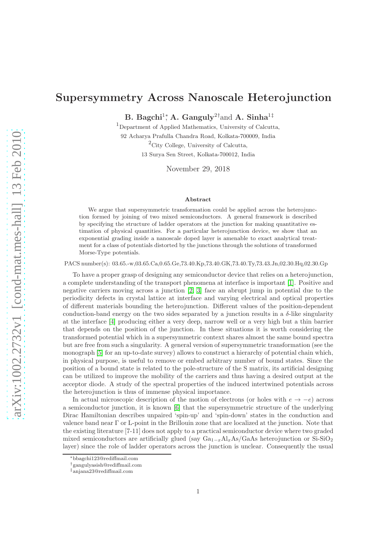## Supersymmetry Across Nanoscale Heterojunction

B. Bagchi<sup>1</sup><sup>\*</sup>, A. Ganguly<sup>2†</sup>and A. Sinha<sup>1‡</sup>

<sup>1</sup>Department of Applied Mathematics, University of Calcutta, 92 Acharya Prafulla Chandra Road, Kolkata-700009, India  ${}^{2}$ City College, University of Calcutta,

13 Surya Sen Street, Kolkata-700012, India

November 29, 2018

## Abstract

We argue that supersymmetric transformation could be applied across the heterojunction formed by joining of two mixed semiconductors. A general framework is described by specifying the structure of ladder operators at the junction for making quantitative estimation of physical quantities. For a particular heterojunction device, we show that an exponential grading inside a nanoscale doped layer is amenable to exact analytical treatment for a class of potentials distorted by the junctions through the solutions of transformed Morse-Type potentials.

PACS number(s): 03.65.-w,03.65.Ca,0.65.Ge,73.40.Kp,73.40.GK,73.40.Ty,73.43.Jn,02.30.Hq,02.30.Gp

To have a proper grasp of designing any semiconductor device that relies on a heterojunction, a complete understanding of the transport phenomena at interface is important [\[1\]](#page-6-0). Positive and negative carriers moving across a junction [\[2,](#page-6-1) [3\]](#page-6-2) face an abrupt jump in potential due to the periodicity defects in crystal lattice at interface and varying electrical and optical properties of different materials bounding the heterojunction. Different values of the position-dependent conduction-band energy on the two sides separated by a junction results in a  $\delta$ -like singularity at the interface [\[4\]](#page-6-3) producing either a very deep, narrow well or a very high but a thin barrier that depends on the position of the junction. In these situations it is worth considering the transformed potential which in a supersymmetric context shares almost the same bound spectra but are free from such a singularity. A general version of supersymmetric transformation (see the monograph [\[5\]](#page-6-4) for an up-to-date survey) allows to construct a hierarchy of potential chain which, in physical purpose, is useful to remove or embed arbitrary number of bound states. Since the position of a bound state is related to the pole-structure of the S matrix, its artificial designing can be utilized to improve the mobility of the carriers and thus having a desired output at the acceptor diode. A study of the spectral properties of the induced intertwined potentials across the heterojunction is thus of immense physical importance.

In actual microscopic description of the motion of electrons (or holes with  $e \to -e$ ) across a semiconductor junction, it is known [\[6\]](#page-6-5) that the supersymmetric structure of the underlying Dirac Hamiltonian describes unpaired 'spin-up' and 'spin-down' states in the conduction and valence band near Γ or L-point in the Brillouin zone that are localized at the junction. Note that the existing literature [7-11] does not apply to a practical semiconductor device where two graded mixed semiconductors are artificially glued (say  $Ga_{1-x}Al_xAs/GaAs$  heterojunction or Si-SiO<sub>2</sub> layer) since the role of ladder operators across the junction is unclear. Consequently the usual

<sup>∗</sup>bbagchi123@rediffmail.com

<sup>†</sup>gangulyasish@rediffmail.com

<sup>‡</sup>anjana23@rediffmail.com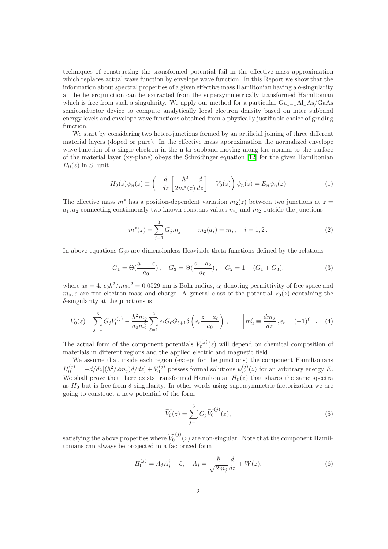techniques of constructing the transformed potential fail in the effective-mass approximation which replaces actual wave function by envelope wave function. In this Report we show that the information about spectral properties of a given effective mass Hamiltonian having a  $\delta$ -singularity at the heterojunction can be extracted from the supersymmetrically transformed Hamiltonian which is free from such a singularity. We apply our method for a particular  $Ga_{1-x}Al_xAs/GaAs$ semiconductor device to compute analytically local electron density based on inter subband energy levels and envelope wave functions obtained from a physically justifiable choice of grading function.

We start by considering two heterojunctions formed by an artificial joining of three different material layers (doped or pure). In the effective mass approximation the normalized envelope wave function of a single electron in the n-th subband moving along the normal to the surface of the material layer (xy-plane) obeys the Schrödinger equation  $[12]$  for the given Hamiltonian  $H_0(z)$  in SI unit

<span id="page-1-0"></span>
$$
H_0(z)\psi_n(z) \equiv \left(-\frac{d}{dz}\left[\frac{\hbar^2}{2m^*(z)}\frac{d}{dz}\right] + V_0(z)\right)\psi_n(z) = E_n\psi_n(z)
$$
 (1)

The effective mass  $m^*$  has a position-dependent variation  $m_2(z)$  between two junctions at  $z =$  $a_1, a_2$  connecting continuously two known constant values  $m_1$  and  $m_2$  outside the junctions

$$
m^*(z) = \sum_{j=1}^3 G_j m_j; \qquad m_2(a_i) = m_i, \quad i = 1, 2.
$$
 (2)

In above equations  $G_j$ s are dimensionless Heaviside theta functions defined by the relations

<span id="page-1-2"></span>
$$
G_1 = \Theta\left(\frac{a_1 - z}{a_0}\right), \quad G_3 = \Theta\left(\frac{z - a_2}{a_0}\right), \quad G_2 = 1 - (G_1 + G_3),\tag{3}
$$

where  $a_0 = 4\pi\epsilon_0\hbar^2/m_0e^2 = 0.0529$  nm is Bohr radius,  $\epsilon_0$  denoting permittivity of free space and  $m_0, e$  are free electron mass and charge. A general class of the potential  $V_0(z)$  containing the  $\delta$ -singularity at the junctions is

$$
V_0(z) = \sum_{j=1}^3 G_j V_0^{(j)} - \frac{\hbar^2 m_2'}{a_0 m_2^2} \sum_{\ell=1}^2 \epsilon_\ell G_\ell G_{\ell+1} \delta\left(\epsilon_\ell \frac{z - a_\ell}{a_0}\right) , \qquad \left[m_2' \equiv \frac{dm_2}{dz}, \epsilon_\ell = (-1)^\ell\right]. \tag{4}
$$

The actual form of the component potentials  $V_0^{(j)}(z)$  will depend on chemical composition of materials in different regions and the applied electric and magnetic field.

We assume that inside each region (except for the junctions) the component Hamiltonians  $H_0^{(j)} = -d/dz[(\hbar^2/2m_j)d/dz] + V_0^{(j)}$  possess formal solutions  $\psi_E^{(j)}$  $E^{(J)}(z)$  for an arbitrary energy E. We shall prove that there exists transformed Hamiltonian  $H_0(z)$  that shares the same spectra as  $H_0$  but is free from  $\delta$ -singularity. In other words using supersymmetric factorization we are going to construct a new potential of the form

<span id="page-1-1"></span>
$$
\widetilde{V_0}(z) = \sum_{j=1}^3 G_j \widetilde{V_0}^{(j)}(z),\tag{5}
$$

satisfying the above properties where  $\widetilde{V}_0^{(j)}(z)$  are non-singular. Note that the component Hamiltonians can always be projected in a factorized form

$$
H_0^{(j)} = A_j A_j^{\dagger} - \mathcal{E}, \quad A_j = \frac{\hbar}{\sqrt{2m_j}} \frac{d}{dz} + W(z), \tag{6}
$$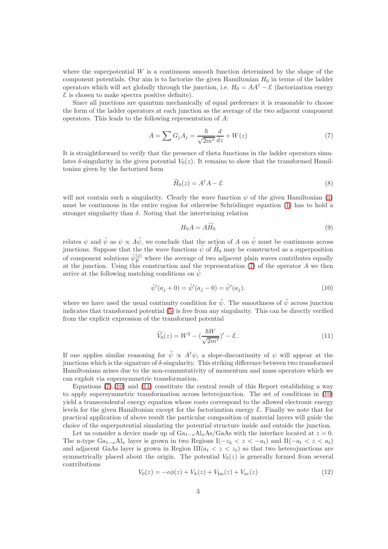where the superpotential  $W$  is a continuous smooth function determined by the shape of the component potentials. Our aim is to factorize the given Hamiltonian  $H_0$  in terms of the ladder operators which will act globally through the junction, i.e.  $H_0 = AA^{\dagger} - \mathcal{E}$  (factorization energy  $\mathcal E$  is chosen to make spectra positive definite).

Since all junctions are quantum mechanically of equal preference it is reasonable to choose the form of the ladder operators at each junction as the average of the two adjacent component operators. This leads to the following representation of A:

<span id="page-2-0"></span>
$$
A = \sum G_j A_j = \frac{\hbar}{\sqrt{2m^*}} \frac{d}{dz} + W(z)
$$
\n(7)

It is straightforward to verify that the presence of theta functions in the ladder operators simulates  $\delta$ -singularity in the given potential  $V_0(z)$ . It remains to show that the transformed Hamiltonian given by the factorized form

$$
\widetilde{H}_0(z) = A^\dagger A - \mathcal{E} \tag{8}
$$

will not contain such a singularity. Clearly the wave function  $\psi$  of the given Hamiltonian [\(1\)](#page-1-0) must be continuous in the entire region for otherwise Schrödinger equation  $(1)$  has to hold a stronger singularity than  $\delta$ . Noting that the intertwining relation

$$
H_0 A = A H_0 \tag{9}
$$

relates  $\psi$  and  $\tilde{\psi}$  as  $\psi \propto A\tilde{\psi}$ , we conclude that the action of A on  $\tilde{\psi}$  must be continuous across junctions. Suppose that the the wave functions  $\tilde{\psi}$  of  $H_0$  may be constructed as a superposition of component solutions  $\tilde{\psi}_E^{(j)}$  where the average of two adjacent plain waves contributes equally at the junction. Using this construction and the representation [\(7\)](#page-2-0) of the operator A we then arrive at the following matching conditions on  $\tilde{\psi}$ 

<span id="page-2-1"></span>
$$
\tilde{\psi}'(a_j + 0) = \tilde{\psi}'(a_j - 0) = \tilde{\psi}'(a_j).
$$
\n(10)

where we have used the usual continuity condition for  $\tilde{\psi}$ . The smoothness of  $\tilde{\psi}$  across junction indicates that transformed potential [\(5\)](#page-1-1) is free from any singularity. This can be directly verified from the explicit expression of the transformed potential

<span id="page-2-2"></span>
$$
\widetilde{V_0}(z) = W^2 - \left(\frac{\hbar W}{\sqrt{2m^*}}\right)' - \mathcal{E} \,. \tag{11}
$$

If one applies similar reasoning for  $\tilde{\psi} \propto A^{\dagger} \psi$ , a slope-discontinuity of  $\psi$  will appear at the junctions which is the signature of  $\delta$ -singularity. This striking difference between two transformed Hamiltonians arises due to the non-commutativity of momentum and mass operators which we can exploit via supersymmetric transformation.

Equations  $(7)(10)$  $(7)(10)$  and  $(11)$  constitute the central result of this Report establishing a way to apply supersymmetric transformation across heterojunction. The set of conditions in [\(10\)](#page-2-1) yield a transcendental energy equation whose roots correspond to the allowed electronic energy levels for the given Hamiltonian except for the factorization energy E. Finally we note that for practical application of above result the particular composition of material layers will guide the choice of the superpotential simulating the potential structure inside and outside the junction.

Let us consider a device made up of  $Ga_{1-x}Al_xAs/GaAs$  with the interface located at  $z = 0$ . The n-type  $Ga_{1-x}A_{x}$  layer is grown in two Regions  $I(-z_h < z < -a_t)$  and  $II(-a_t < z < a_t)$ and adjacent GaAs layer is grown in Region  $III(a_t < z < z_t)$  so that two heterojunctions are symmetrically placed about the origin. The potential  $V_0(z)$  is generally formed from several contributions

$$
V_0(z) = -e\phi(z) + V_h(z) + V_{\rm Im}(z) + V_{\rm xc}(z)
$$
\n(12)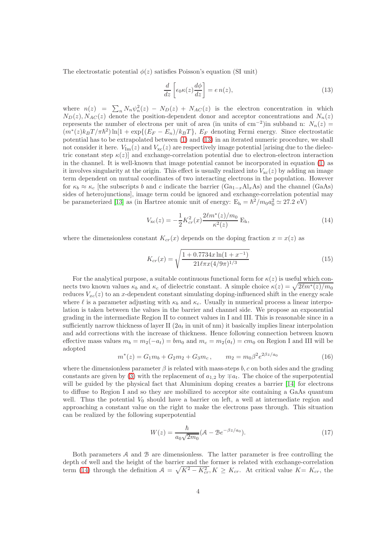The electrostatic potential  $\phi(z)$  satisfies Poisson's equation (SI unit)

<span id="page-3-0"></span>
$$
\frac{d}{dz}\left[\epsilon_0\kappa(z)\frac{d\phi}{dz}\right] = e\,n(z),\tag{13}
$$

where  $n(z) = \sum_n N_n \psi_n^2(z) - N_D(z) + N_{AC}(z)$  is the electron concentration in which  $N_D(z)$ ,  $N_{AC}(z)$  denote the position-dependent donor and acceptor concentrations and  $N_n(z)$ represents the number of electrons per unit of area (in units of cm<sup>-2</sup>) in subband n:  $N_n(z)$  $(m^*(z)k_BT/\pi\hbar^2)\ln[1+\exp\{(E_F-E_n)/k_BT\}$ ,  $E_F$  denoting Fermi energy. Since electrostatic potential has to be extrapolated between [\(1\)](#page-1-0) and [\(13\)](#page-3-0) in an iterated numeric procedure, we shall not consider it here.  $V_{\text{Im}}(z)$  and  $V_{\text{xc}}(z)$  are respectively image potential [arising due to the dielectric constant step  $\kappa(z)$  and exchange-correlation potential due to electron-electron interaction in the channel. It is well-known that image potential cannot be incorporated in equation [\(1\)](#page-1-0) as it involves singularity at the origin. This effect is usually realized into  $V_{\text{xc}}(z)$  by adding an image term dependent on mutual coordinates of two interacting electrons in the population. However for  $\kappa_b \approx \kappa_c$  [the subscripts b and c indicate the barrier (Ga<sub>1-x</sub>Al<sub>x</sub>As) and the channel (GaAs) sides of heterojunctions], image term could be ignored and exchange-correlation potential may be parameterized [\[13\]](#page-6-7) as (in Hartree atomic unit of energy:  $E_h = \hbar^2 / m_0 a_0^2 \simeq 27.2 \text{ eV}$ )

<span id="page-3-1"></span>
$$
V_{\rm xc}(z) = -\frac{1}{2} K_{cr}^2(x) \frac{2\ell m^*(z)/m_0}{\kappa^2(z)} \, \mathcal{E}_{\rm h},\tag{14}
$$

where the dimensionless constant  $K_{cr}(x)$  depends on the doping fraction  $x = x(z)$  as

$$
K_{cr}(x) = \sqrt{\frac{1 + 0.7734x \ln(1 + x^{-1})}{21\ell \pi x (4/9\pi)^{1/3}}}
$$
(15)

For the analytical purpose, a suitable continuous functional form for  $\kappa(z)$  is useful which connects two known values  $\kappa_b$  and  $\kappa_c$  of dielectric constant. A simple choice  $\kappa(z) = \sqrt{2\ell m^*(z)/m_0}$ reduces  $V_{xc}(z)$  to an x-dependent constant simulating doping-influenced shift in the energy scale where  $\ell$  is a parameter adjusting with  $\kappa_b$  and  $\kappa_c$ . Usually in numerical process a linear interpolation is taken between the values in the barrier and channel side. We propose an exponential grading in the intermediate Region II to connect values in I and III. This is reasonable since in a sufficiently narrow thickness of layer II  $(2a_t)$  in unit of nm) it basically implies linear interpolation and add corrections with the increase of thickness. Hence following connection between known effective mass values  $m_b = m_2(-a_t) = bm_0$  and  $m_c = m_2(a_t) = cm_0$  on Region I and III will be adopted

<span id="page-3-2"></span>
$$
m^*(z) = G_1 m_b + G_2 m_2 + G_3 m_c, \qquad m_2 = m_0 \beta^2 e^{2\beta z/a_0}
$$
 (16)

where the dimensionless parameter  $\beta$  is related with mass-steps b, c on both sides and the grading constants are given by [\(3\)](#page-1-2) with the replacement of  $a_{1,2}$  by  $\mp a_t$ . The choice of the superpotential will be guided by the physical fact that Aluminium doping creates a barrier [\[14\]](#page-6-8) for electrons to diffuse to Region I and so they are mobilized to acceptor site containing a GaAs quantum well. Thus the potential  $V_0$  should have a barrier on left, a well at intermediate region and approaching a constant value on the right to make the electrons pass through. This situation can be realized by the following superpotential

<span id="page-3-3"></span>
$$
W(z) = \frac{\hbar}{a_0 \sqrt{2m_0}} (\mathcal{A} - \mathcal{B}e^{-\beta z/a_0}).
$$
\n(17)

Both parameters  $A$  and  $B$  are dimensionless. The latter parameter is free controlling the depth of well and the height of the barrier and the former is related with exchange-correlation term [\(14\)](#page-3-1) through the definition  $A = \sqrt{K^2 - K_{cr}^2}$ ,  $K \ge K_{cr}$ . At critical value  $K = K_{cr}$ , the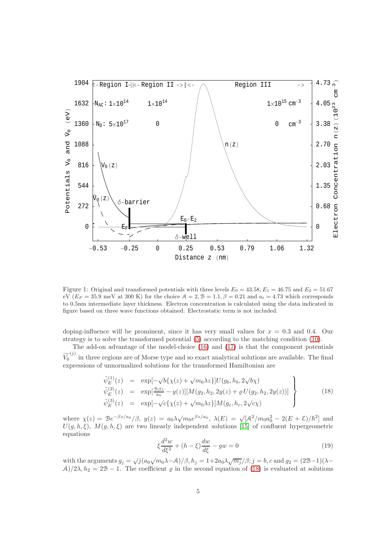

<span id="page-4-1"></span>Figure 1: Original and transformed potentials with three levels  $E_0 = 43.58$ ,  $E_1 = 46.75$  and  $E_2 = 51.67$ eV  $(E_F = 35.9 \text{ meV at } 300 \text{ K})$  for the choice  $A = 2, B = 1.1, \beta = 0.21$  and  $a_t = 4.73$  which corresponds to 0.5nm intermediate layer thickness. Electron concentration is calculated using the data indicated in figure based on three wave functions obtained. Electrostatic term is not included.

doping-influence will be prominent, since it has very small values for  $x = 0.3$  and 0.4. Our strategy is to solve the transformed potential [\(5\)](#page-1-1) according to the matching condition [\(10\)](#page-2-1).

The add-on advantage of the model-choice [\(16\)](#page-3-2) and [\(17\)](#page-3-3) is that the component potentials  $\widetilde{V}_0^{(j)}$  in three regions are of Morse type and so exact analytical solutions are available. The final expressions of unnormalized solutions for the transformed Hamiltonian are

<span id="page-4-0"></span>
$$
\tilde{\psi}_E^{(1)}(z) = \exp[-\sqrt{b}\{\chi(z) + \sqrt{m_0\lambda z}\}]U(g_b, h_b, 2\sqrt{b}\chi) \n\tilde{\psi}_E^{(2)}(z) = \exp[\frac{\beta \beta z}{a_0} - y(z)][M(g_2, h_2, 2y(z) + \varrho U(g_2, h_2, 2y(z))]
$$
\n
$$
\tilde{\psi}_E^{(3)}(z) = \exp[-\sqrt{c}\{\chi(z) + \sqrt{m_0\lambda z}\}]M(g_c, h_c, 2\sqrt{c}\chi)
$$
\n(18)

where  $\chi(z) = \mathcal{B}e^{-\beta z/a_0}/\beta$ ,  $y(z) = a_0\lambda\sqrt{m_0e^{\beta z/a_0}}$ ,  $\lambda(E) = \sqrt{[\mathcal{A}^2/m_0a_0^2 - 2(E+\mathcal{E})/\hbar^2]}$  and  $U(g, h, \xi), M(g, h, \xi)$  are two linearly independent solutions [\[15\]](#page-6-9) of confluent hypergeometric equations

$$
\xi \frac{d^2 w}{d\xi^2} + (h - \xi) \frac{dw}{d\xi} - gw = 0
$$
\n(19)

with the arguments  $g_j = \sqrt{j(a_0\sqrt{m_0\lambda}-A)/\beta}, h_j = 1+2a_0\lambda\sqrt{m_j/\beta}; j = b, c$  and  $g_2 = (2B-1)(\lambda A)/2\lambda$ ,  $h_2 = 2B - 1$ . The coefficient  $\varrho$  in the second equation of [\(18\)](#page-4-0) is evaluated at solutions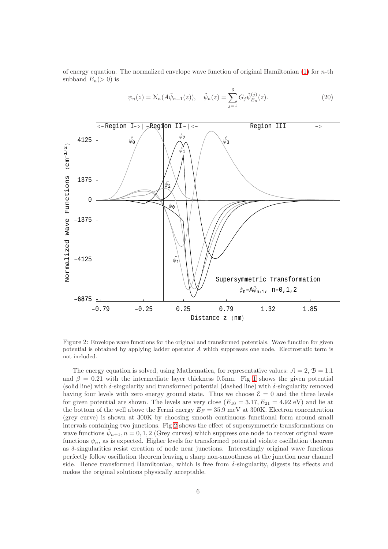of energy equation. The normalized envelope wave function of original Hamiltonian  $(1)$  for *n*-th subband  $E_n(>0)$  is

$$
\psi_n(z) = \mathcal{N}_n(A\tilde{\psi}_{n+1}(z)), \quad \tilde{\psi}_n(z) = \sum_{j=1}^3 G_j \tilde{\psi}_{E_n}^{(j)}(z). \tag{20}
$$



<span id="page-5-0"></span>Figure 2: Envelope wave functions for the original and transformed potentials. Wave function for given potential is obtained by applying ladder operator A which suppresses one node. Electrostatic term is not included.

The energy equation is solved, using Mathematica, for representative values:  $A = 2$ ,  $B = 1.1$ and  $\beta = 0.21$  with the intermediate layer thickness 0.5nm. Fig [1](#page-4-1) shows the given potential (solid line) with  $\delta$ -singularity and transformed potential (dashed line) with  $\delta$ -singularity removed having four levels with zero energy ground state. Thus we choose  $\mathcal{E} = 0$  and the three levels for given potential are shown. The levels are very close  $(E_{10} = 3.17, E_{21} = 4.92 \text{ eV})$  and lie at the bottom of the well above the Fermi energy  $E_F = 35.9 \text{ meV}$  at 300K. Electron concentration (grey curve) is shown at 300K by choosing smooth continuous functional form around small intervals containing two junctions. Fig [2](#page-5-0) shows the effect of supersymmetric transformations on wave functions  $\tilde{\psi}_{n+1}, n = 0, 1, 2$  (Grey curves) which suppress one node to recover original wave functions  $\psi_n$ , as is expected. Higher levels for transformed potential violate oscillation theorem as  $\delta$ -singularities resist creation of node near junctions. Interestingly original wave functions perfectly follow oscillation theorem leaving a sharp non-smoothness at the junction near channel side. Hence transformed Hamiltonian, which is free from  $\delta$ -singularity, digests its effects and makes the original solutions physically acceptable.